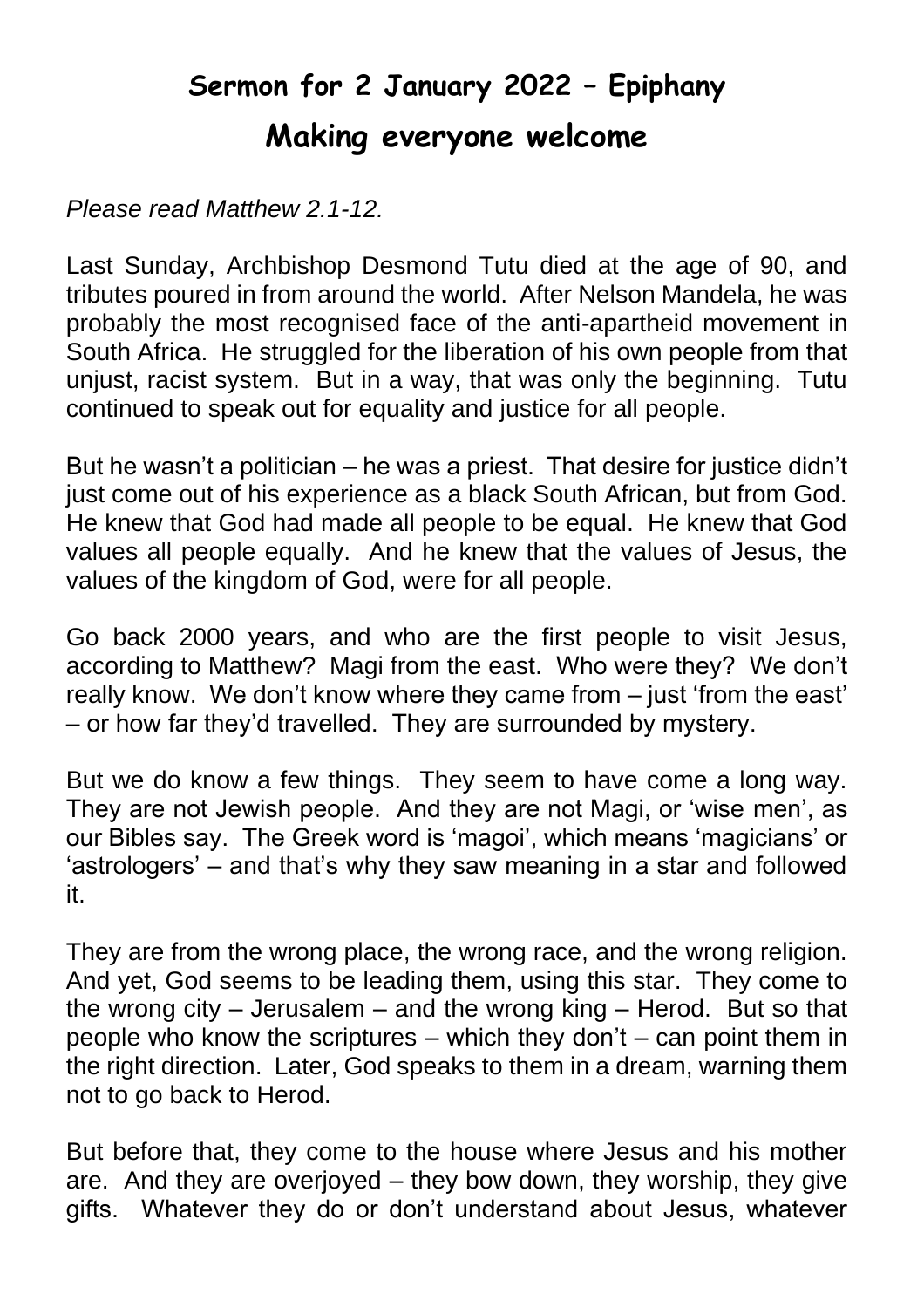## **Sermon for 2 January 2022 – Epiphany Making everyone welcome**

## *Please read Matthew 2.1-12.*

Last Sunday, Archbishop Desmond Tutu died at the age of 90, and tributes poured in from around the world. After Nelson Mandela, he was probably the most recognised face of the anti-apartheid movement in South Africa. He struggled for the liberation of his own people from that unjust, racist system. But in a way, that was only the beginning. Tutu continued to speak out for equality and justice for all people.

But he wasn't a politician – he was a priest. That desire for justice didn't just come out of his experience as a black South African, but from God. He knew that God had made all people to be equal. He knew that God values all people equally. And he knew that the values of Jesus, the values of the kingdom of God, were for all people.

Go back 2000 years, and who are the first people to visit Jesus, according to Matthew? Magi from the east. Who were they? We don't really know. We don't know where they came from – just 'from the east' – or how far they'd travelled. They are surrounded by mystery.

But we do know a few things. They seem to have come a long way. They are not Jewish people. And they are not Magi, or 'wise men', as our Bibles say. The Greek word is 'magoi', which means 'magicians' or 'astrologers' – and that's why they saw meaning in a star and followed it.

They are from the wrong place, the wrong race, and the wrong religion. And yet, God seems to be leading them, using this star. They come to the wrong city – Jerusalem – and the wrong king – Herod. But so that people who know the scriptures – which they don't – can point them in the right direction. Later, God speaks to them in a dream, warning them not to go back to Herod.

But before that, they come to the house where Jesus and his mother are. And they are overjoyed – they bow down, they worship, they give gifts. Whatever they do or don't understand about Jesus, whatever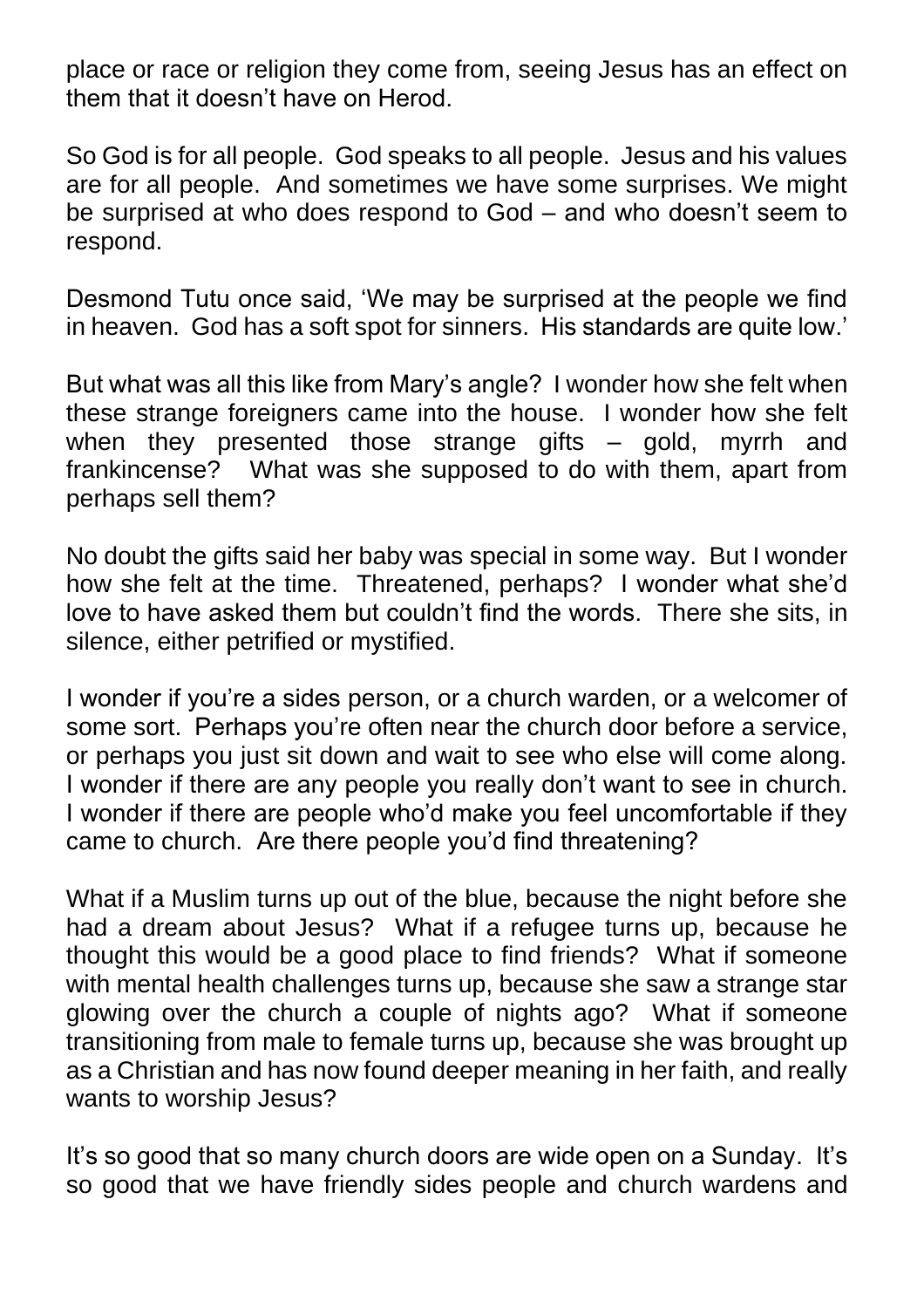place or race or religion they come from, seeing Jesus has an effect on them that it doesn't have on Herod.

So God is for all people. God speaks to all people. Jesus and his values are for all people. And sometimes we have some surprises. We might be surprised at who does respond to God – and who doesn't seem to respond.

Desmond Tutu once said, 'We may be surprised at the people we find in heaven. God has a soft spot for sinners. His standards are quite low.'

But what was all this like from Mary's angle? I wonder how she felt when these strange foreigners came into the house. I wonder how she felt when they presented those strange gifts – gold, myrrh and frankincense? What was she supposed to do with them, apart from perhaps sell them?

No doubt the gifts said her baby was special in some way. But I wonder how she felt at the time. Threatened, perhaps? I wonder what she'd love to have asked them but couldn't find the words. There she sits, in silence, either petrified or mystified.

I wonder if you're a sides person, or a church warden, or a welcomer of some sort. Perhaps you're often near the church door before a service, or perhaps you just sit down and wait to see who else will come along. I wonder if there are any people you really don't want to see in church. I wonder if there are people who'd make you feel uncomfortable if they came to church. Are there people you'd find threatening?

What if a Muslim turns up out of the blue, because the night before she had a dream about Jesus? What if a refugee turns up, because he thought this would be a good place to find friends? What if someone with mental health challenges turns up, because she saw a strange star glowing over the church a couple of nights ago? What if someone transitioning from male to female turns up, because she was brought up as a Christian and has now found deeper meaning in her faith, and really wants to worship Jesus?

It's so good that so many church doors are wide open on a Sunday. It's so good that we have friendly sides people and church wardens and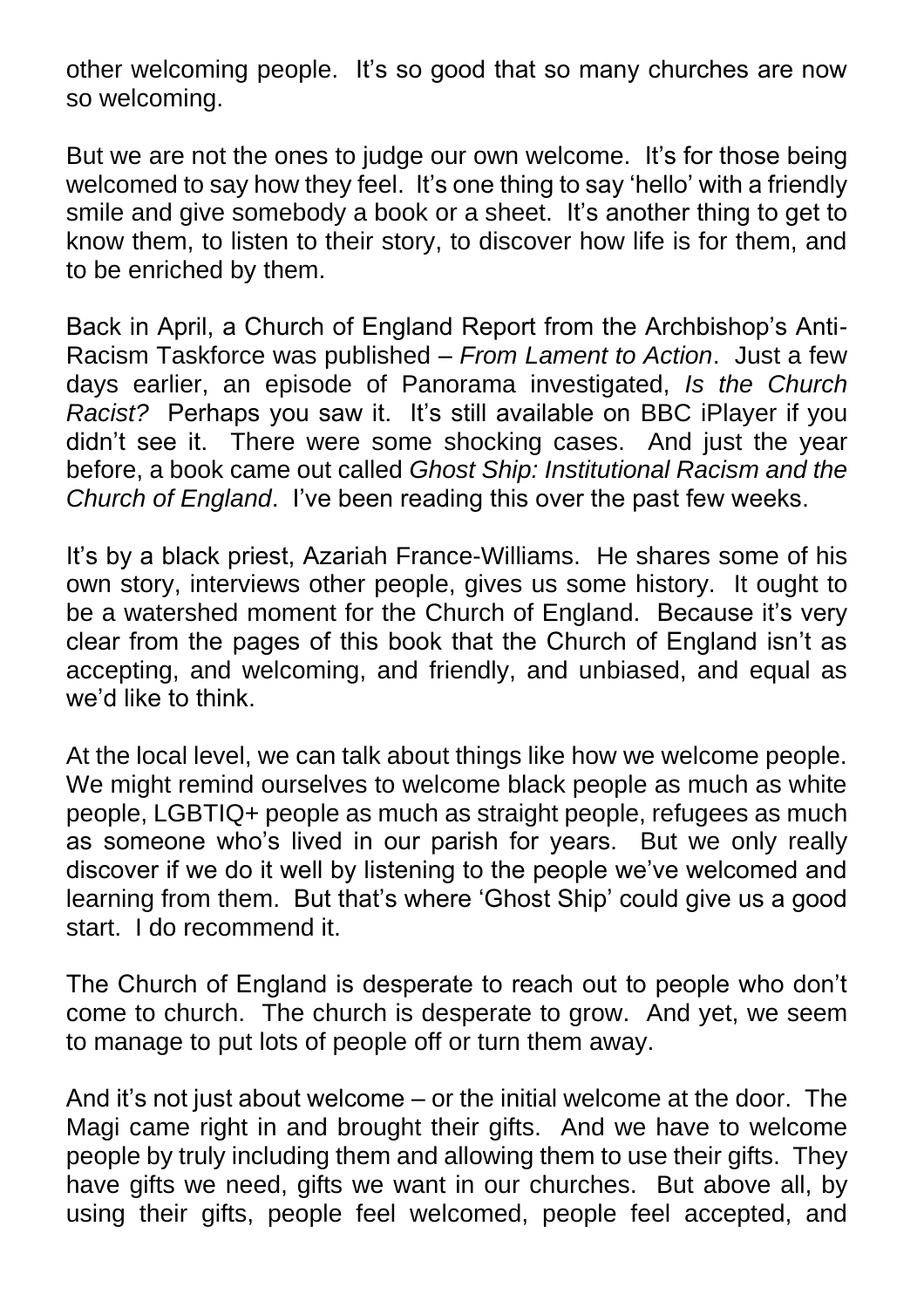other welcoming people. It's so good that so many churches are now so welcoming.

But we are not the ones to judge our own welcome. It's for those being welcomed to say how they feel. It's one thing to say 'hello' with a friendly smile and give somebody a book or a sheet. It's another thing to get to know them, to listen to their story, to discover how life is for them, and to be enriched by them.

Back in April, a Church of England Report from the Archbishop's Anti-Racism Taskforce was published – *From Lament to Action*. Just a few days earlier, an episode of Panorama investigated, *Is the Church Racist?* Perhaps you saw it. It's still available on BBC iPlayer if you didn't see it. There were some shocking cases. And just the year before, a book came out called *Ghost Ship: Institutional Racism and the Church of England*. I've been reading this over the past few weeks.

It's by a black priest, Azariah France-Williams. He shares some of his own story, interviews other people, gives us some history. It ought to be a watershed moment for the Church of England. Because it's very clear from the pages of this book that the Church of England isn't as accepting, and welcoming, and friendly, and unbiased, and equal as we'd like to think.

At the local level, we can talk about things like how we welcome people. We might remind ourselves to welcome black people as much as white people, LGBTIQ+ people as much as straight people, refugees as much as someone who's lived in our parish for years. But we only really discover if we do it well by listening to the people we've welcomed and learning from them. But that's where 'Ghost Ship' could give us a good start. I do recommend it.

The Church of England is desperate to reach out to people who don't come to church. The church is desperate to grow. And yet, we seem to manage to put lots of people off or turn them away.

And it's not just about welcome – or the initial welcome at the door. The Magi came right in and brought their gifts. And we have to welcome people by truly including them and allowing them to use their gifts. They have gifts we need, gifts we want in our churches. But above all, by using their gifts, people feel welcomed, people feel accepted, and